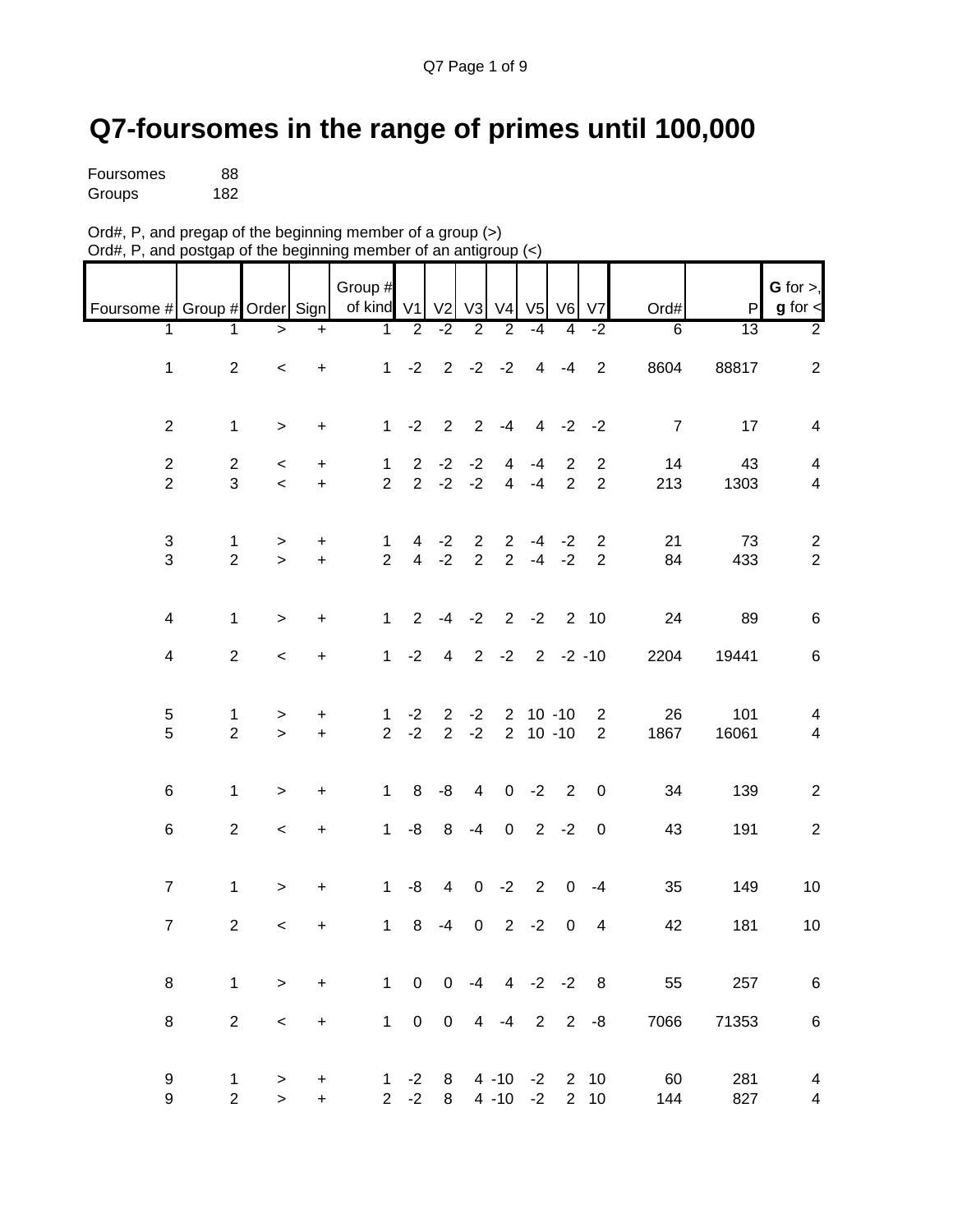## **Q7-foursomes in the range of primes until 100,000**

| Foursomes | 88  |
|-----------|-----|
| Groups    | 182 |

| Ord#, P, and pregap of the beginning member of a group $(>)$     |  |
|------------------------------------------------------------------|--|
| Ord#, P, and postgap of the beginning member of an antigroup (<) |  |

| Foursome # Group # Order Sign    |                               |                        |                                         | Group #<br>of kind V1          |                     | V <sub>2</sub>                |                               | V3 V4                            |                           | V5 V6                        | V7                               | Ord#           | $\mathsf{P}$ | $G$ for $>$ ,<br>$g$ for $\lt$                     |
|----------------------------------|-------------------------------|------------------------|-----------------------------------------|--------------------------------|---------------------|-------------------------------|-------------------------------|----------------------------------|---------------------------|------------------------------|----------------------------------|----------------|--------------|----------------------------------------------------|
| 1                                | 1                             | $\,>$                  | $\ddot{}$                               | 1                              | $\overline{2}$      | $-2$                          | $\overline{2}$                | $\overline{2}$                   | $-4$                      | 4                            | $-2$                             | 6              | 13           | $\overline{2}$                                     |
| $\mathbf{1}$                     | $\overline{2}$                | $\,<$                  | $\ddot{}$                               | 1                              | $-2$                | $2^{\circ}$                   | $-2$                          | $-2$                             | $\overline{4}$            | -4                           | $\overline{2}$                   | 8604           | 88817        | $\overline{2}$                                     |
| $\overline{2}$                   | $\mathbf 1$                   | $\,$                   | $\begin{array}{c} + \end{array}$        | 1                              | $-2$                | $\overline{2}$                |                               | $2 - 4$                          |                           | $4 -2 -2$                    |                                  | $\overline{7}$ | 17           | $\overline{\mathbf{4}}$                            |
| $\overline{2}$<br>$\overline{c}$ | $\overline{2}$<br>3           | $\,<$<br>$\,<$         | +<br>$\ddot{}$                          | $\mathbf{1}$<br>$\overline{2}$ | 2<br>$\overline{2}$ | $-2$<br>$-2$                  | $-2$<br>$-2$                  | $\overline{4}$<br>$\overline{4}$ | $-4$<br>$-4$              | $\overline{2}$<br>$\sqrt{2}$ | $\overline{2}$<br>$\overline{c}$ | 14<br>213      | 43<br>1303   | $\overline{4}$<br>$\overline{4}$                   |
| $\sqrt{3}$<br>$\mathfrak{S}$     | $\mathbf 1$<br>$\overline{2}$ | $\, >$<br>$\mathbf{r}$ | +<br>$\ddot{}$                          | $\mathbf{1}$<br>$\overline{2}$ | 4 <sup>1</sup>      | $4 -2$<br>$-2$                | $\overline{2}$<br>$2^{\circ}$ | $\overline{2}$                   | $2 - 4 - 2$               | $-4 -2$                      | 2<br>$\overline{2}$              | 21<br>84       | 73<br>433    | $\overline{2}$<br>$\mathbf 2$                      |
| $\overline{4}$                   | $\mathbf 1$                   | $\geq$                 | +                                       | $\mathbf{1}$                   | $\overline{2}$      | $-4$                          | $-2$                          | 2                                | $-2$                      | 2                            | 10                               | 24             | 89           | $\,6\,$                                            |
| $\overline{\mathbf{4}}$          | $\overline{2}$                | $\,<$                  | $\ddot{}$                               | $\mathbf{1}$                   | $-2$                | $\overline{4}$                |                               | $2 -2$                           |                           | $2 - 2 - 10$                 |                                  | 2204           | 19441        | $\,6\,$                                            |
| 5<br>5                           | 1<br>$\overline{2}$           | $\,$<br>$\geq$         | $\ddot{}$<br>$+$                        | $\mathbf 1$<br>$2^{\circ}$     | $-2$<br>$-2$        | $\overline{2}$<br>$2^{\circ}$ | $-2$<br>$-2$                  |                                  | $2$ 10 -10<br>$2 10 - 10$ |                              | $\overline{c}$<br>$\overline{2}$ | 26<br>1867     | 101<br>16061 | 4<br>$\overline{4}$                                |
| 6                                | $\mathbf 1$                   | $\,$                   | $\ddot{}$                               | $\mathbf{1}$                   | 8                   | -8                            | $\overline{4}$                | $\mathbf 0$                      | $-2$                      | $\overline{2}$               | 0                                | 34             | 139          | $\overline{2}$                                     |
| 6                                | $\overline{2}$                | $\,<$                  | $\ddot{}$                               | $\mathbf{1}$                   | -8                  | 8                             | $-4$                          | $\mathsf 0$                      |                           | $2 - 2$                      | $\boldsymbol{0}$                 | 43             | 191          | $\overline{2}$                                     |
| $\overline{7}$                   | $\mathbf 1$                   | $\, >$                 | $\ddot{}$                               | $\mathbf{1}$                   | -8                  | $\overline{4}$                | $\overline{0}$                | $-2$                             | 2                         | $\mathbf 0$                  | $-4$                             | 35             | 149          | 10                                                 |
| $\overline{7}$                   | $\sqrt{2}$                    | $\,<$                  | +                                       | $\mathbf{1}$                   | $\,8\,$             | $-4$                          | $\mathbf 0$                   | $\overline{2}$                   | $-2$                      | $\mathbf 0$                  | $\overline{\mathbf{4}}$          | 42             | 181          | $10$                                               |
| 8                                | $\mathbf{1}$                  | $\, >$                 | $\ddot{}$                               | 1                              | $\mathsf{O}\xspace$ | $\pmb{0}$                     | $-4$                          |                                  | $4 -2 -2$                 |                              | 8                                | 55             | 257          | $\,6\,$                                            |
| 8                                | $\overline{2}$                | $\,<$                  | $+$                                     | 1                              | $\mathsf{O}\xspace$ | $\pmb{0}$                     |                               | $4 -4 2 2 -8$                    |                           |                              |                                  | 7066           | 71353        | $\,6$                                              |
| 9<br>9                           | 1<br>$\overline{2}$           | $\,$<br>$\mathbf{r}$   | $\begin{array}{c} + \end{array}$<br>$+$ | $\mathbf{1}$<br>$\overline{2}$ | $-2$<br>$-2$        | 8<br>8                        |                               | $4 - 10 - 2$<br>$4 - 10 - 2$     |                           |                              | 2 10<br>$2 \quad 10$             | 60<br>144      | 281<br>827   | $\overline{\mathbf{4}}$<br>$\overline{\mathbf{4}}$ |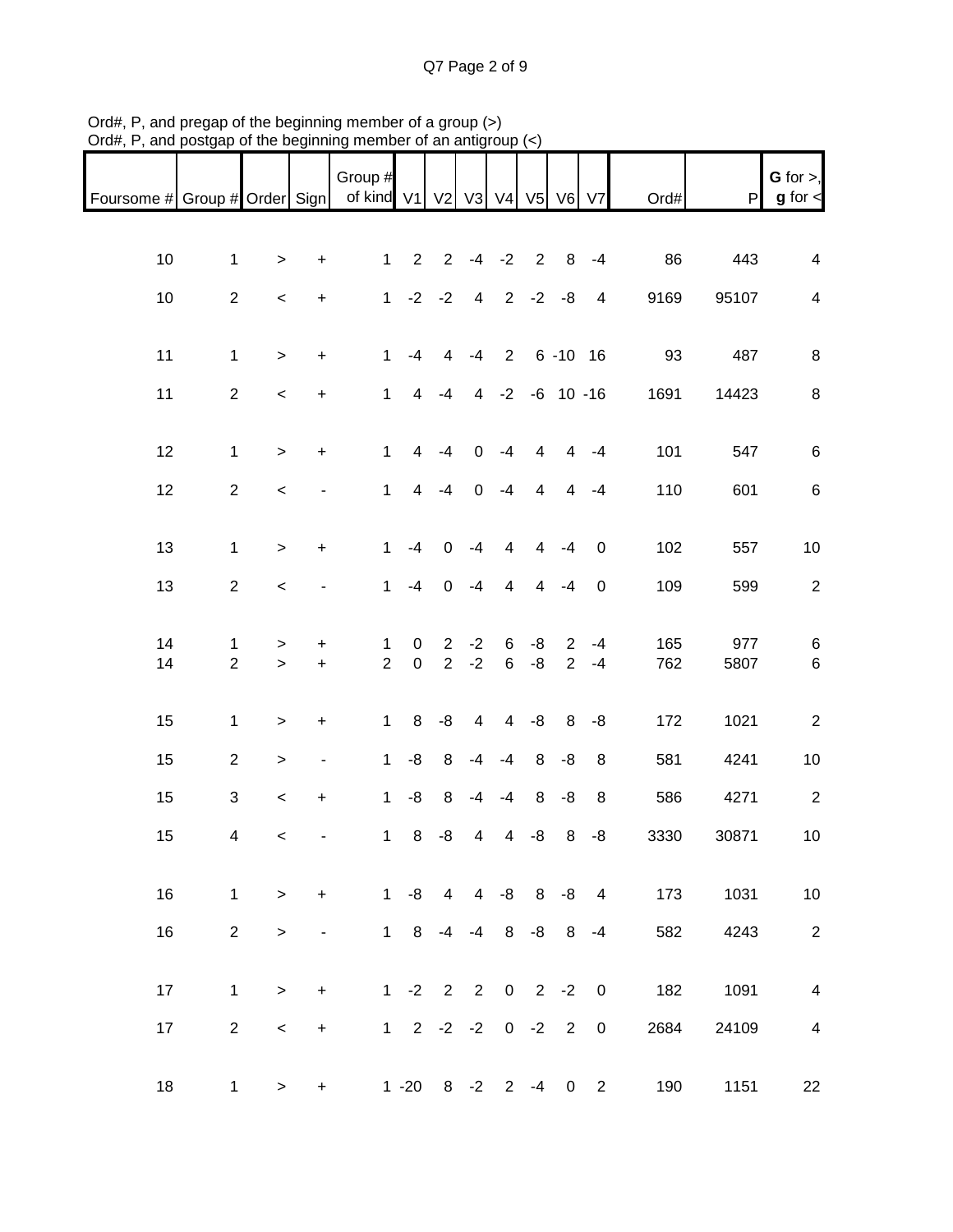| Foursome # Group # Order Sign |                     |           |                          | Group #<br>of kind V1          |                   |                               |                | V2 V3 V4 V5 V6      |                |                                  | V <sub>7</sub>          | Ord#       | ${\sf P}$   | G for $>$ ,<br>$g$ for $\lt$ |
|-------------------------------|---------------------|-----------|--------------------------|--------------------------------|-------------------|-------------------------------|----------------|---------------------|----------------|----------------------------------|-------------------------|------------|-------------|------------------------------|
|                               |                     |           |                          |                                |                   |                               |                |                     |                |                                  |                         |            |             |                              |
| 10                            | $\mathbf{1}$        | $\, >$    | $\ddot{}$                | $\mathbf{1}$                   | $\overline{2}$    | $\overline{2}$                |                | $-4 -2$             | $\overline{2}$ | 8                                | $-4$                    | 86         | 443         | $\overline{\mathbf{4}}$      |
| 10                            | $\overline{2}$      | $\,<$     | $+$                      | 1 <sup>1</sup>                 |                   | $-2 -2$                       |                | $4$ 2 -2 -8         |                |                                  | $\overline{4}$          | 9169       | 95107       | $\overline{\mathbf{4}}$      |
|                               |                     |           |                          |                                |                   |                               |                |                     |                |                                  |                         |            |             |                              |
| 11                            | $\mathbf{1}$        | $\geq$    | $+$                      | $\mathbf{1}$                   | $-4$              | 4                             | $-4$           |                     | 2 6 - 10 16    |                                  |                         | 93         | 487         | $\,8\,$                      |
| 11                            | $\overline{2}$      | $\prec$   | $+$                      | $\mathbf{1}$                   | $\overline{4}$    | $-4$                          |                | 4 -2 -6 10 -16      |                |                                  |                         | 1691       | 14423       | $\,8\,$                      |
| 12                            | $\mathbf 1$         | $\, >$    | $\ddot{}$                | $\mathbf{1}$                   | $\overline{4}$    | $-4$                          | $\mathbf 0$    | $-4$                | 4              | $\overline{4}$                   | $-4$                    | 101        | 547         | $\,6$                        |
| 12                            | $\mathbf{2}$        | $\,<$     |                          | $\mathbf{1}$                   | $\overline{4}$    | $-4$                          | $\mathbf 0$    | $-4$                | 4              | $\overline{4}$                   | $-4$                    | 110        | 601         | $\,6\,$                      |
|                               |                     |           |                          |                                |                   |                               |                |                     |                |                                  |                         |            |             |                              |
| 13                            | $\mathbf{1}$        | $\geq$    | $\ddot{}$                | $\mathbf{1}$                   | $-4$              | $\mathbf 0$                   | $-4$           | $\overline{4}$      | 4              | $-4$                             | $\mathbf 0$             | 102        | 557         | $10$                         |
| 13                            | 2                   | $\,<$     |                          | $\mathbf{1}$                   | $-4$              | $\mathbf 0$                   | $-4$           | $\overline{4}$      | $\overline{4}$ | $-4$                             | $\boldsymbol{0}$        | 109        | 599         | $\sqrt{2}$                   |
|                               |                     |           |                          |                                |                   |                               |                |                     |                |                                  |                         |            |             |                              |
| 14<br>14                      | 1<br>$\overline{2}$ | ><br>$\,$ | $\pm$<br>$\ddot{}$       | $\mathbf{1}$<br>$\overline{2}$ | 0<br>$\mathbf 0$  | $\overline{2}$<br>$2^{\circ}$ | $-2$<br>$-2$   | 6<br>$6\phantom{.}$ | -8<br>-8       | $\overline{2}$<br>$\overline{2}$ | $-4$<br>$-4$            | 165<br>762 | 977<br>5807 | $\,6$<br>$\,6\,$             |
|                               |                     |           |                          |                                |                   |                               |                |                     |                |                                  |                         |            |             |                              |
| 15                            | $\mathbf{1}$        | $\, >$    | $\ddot{}$                | $\mathbf 1$                    | 8                 | -8                            | $\overline{4}$ | $\overline{4}$      | -8             | 8                                | -8                      | 172        | 1021        | $\sqrt{2}$                   |
| 15                            | $\overline{2}$      | $\,$      | $\overline{\phantom{m}}$ | $\mathbf{1}$                   | $-8$              | 8                             | $-4$           | $-4$                | 8              | -8                               | 8                       | 581        | 4241        | $10$                         |
| 15                            | 3                   | $\,<$     | $\ddot{}$                | $\mathbf{1}$                   | $-8$              | 8                             | $-4$           | $-4$                | 8              | -8                               | 8                       | 586        | 4271        | $\sqrt{2}$                   |
| 15                            | 4                   | $\prec$   |                          | $\mathbf 1$                    | 8                 | -8                            | 4              | 4                   | -8             | 8                                | $-8$                    | 3330       | 30871       | $10$                         |
|                               |                     |           |                          |                                |                   |                               |                |                     |                |                                  |                         |            |             |                              |
| 16                            | $\mathbf{1}$        | $\, >$    | $+$                      |                                | $1 - 8$           | $\overline{4}$                |                | $4 -8 8 -8 4$       |                |                                  |                         | 173        | 1031        | $10$                         |
| 16                            | $\overline{2}$      | $\geq$    |                          |                                | $1 \quad 8$       | $-4$                          | $-4$           | 8                   | $-8$           | 8                                | $-4$                    | 582        | 4243        | $\sqrt{2}$                   |
|                               |                     |           |                          |                                |                   |                               |                |                     |                |                                  |                         |            |             |                              |
| 17                            | $\mathbf 1$         | $\geq$    | $+$                      |                                | $1 -2 2$          |                               | $\overline{c}$ |                     | $0 \t 2 \t -2$ |                                  | $\overline{\mathbf{0}}$ | 182        | 1091        | $\overline{\mathbf{4}}$      |
| 17                            | $\overline{2}$      | $\,<$     | $\ddot{}$                |                                | $1 \t2 \t-2 \t-2$ |                               |                |                     | $0 -2 2$       |                                  | $\mathbf 0$             | 2684       | 24109       | $\overline{\mathbf{4}}$      |
| 18                            | $\mathbf{1}$        | $\, >$    | $+$                      |                                | $1 - 20$          |                               | $8 - 2$        |                     | $2 - 4$        | $\mathbf 0$                      | $\overline{2}$          | 190        | 1151        | 22                           |

Ord#, P, and pregap of the beginning member of a group (>) Ord#, P, and postgap of the beginning member of an antigroup (<)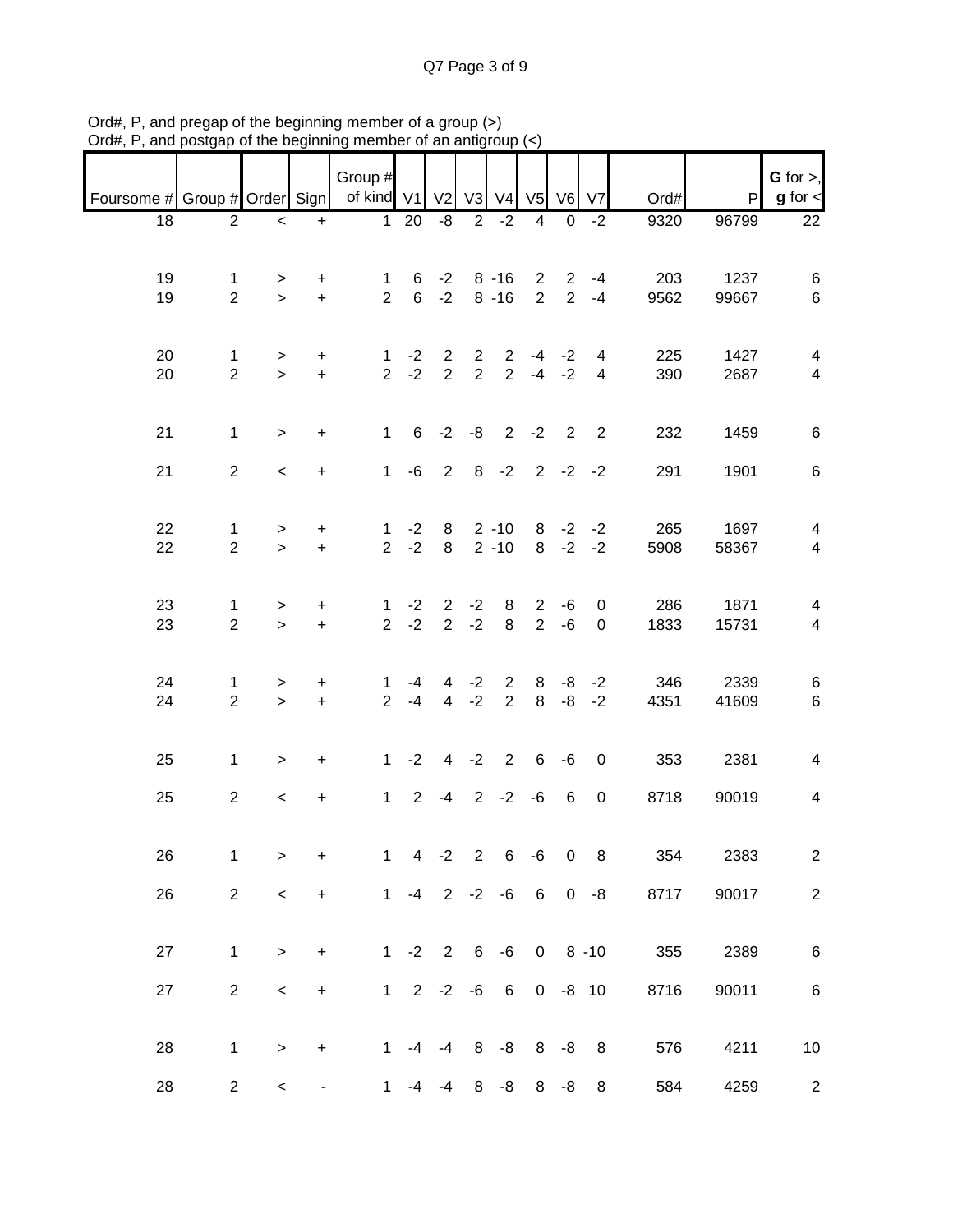Q7 Page 3 of 9

|                               |                               |                          |                        | Group #                        |                          |                                  |                                  |                                  |                                  |                                  |                     |             |               | $G$ for $>$ ,                             |
|-------------------------------|-------------------------------|--------------------------|------------------------|--------------------------------|--------------------------|----------------------------------|----------------------------------|----------------------------------|----------------------------------|----------------------------------|---------------------|-------------|---------------|-------------------------------------------|
| Foursome # Group # Order Sign |                               |                          |                        | of kind V1                     |                          | V <sub>2</sub>                   | V <sub>3</sub>                   | V <sub>4</sub>                   | V <sub>5</sub>                   | V6                               | V <sub>7</sub>      | Ord#        | P             | $g$ for $\lt$                             |
| 18                            | $\overline{2}$                | $\,<\,$                  | $\ddot{}$              |                                | $1 20$                   | -8                               | $\overline{2}$                   | $-2$                             | 4                                | 0                                | $-2$                | 9320        | 96799         | $\overline{22}$                           |
| 19<br>19                      | $\mathbf 1$<br>$\overline{2}$ | $\geq$<br>$\geq$         | +<br>$\ddot{}$         | $\mathbf{1}$<br>$\overline{2}$ | 6<br>$6\overline{6}$     | $-2$<br>$-2$                     |                                  | $8 - 16$<br>$8 - 16$             | $2^{\circ}$<br>$2^{\circ}$       | $\overline{2}$<br>$\overline{2}$ | $-4$<br>$-4$        | 203<br>9562 | 1237<br>99667 | 6<br>6                                    |
| 20<br>20                      | 1<br>$\overline{2}$           | $\geq$<br>$\geq$         | +<br>$\ddot{}$         | $\mathbf{1}$<br>$\overline{2}$ | $-2$<br>$-2$             | $\overline{2}$<br>$\overline{2}$ | $\overline{2}$<br>$\overline{2}$ | $\overline{2}$<br>2 <sup>1</sup> |                                  | $-4 -2$<br>$-4 -2$               | 4<br>$\overline{4}$ | 225<br>390  | 1427<br>2687  | 4<br>$\overline{\mathbf{4}}$              |
| 21                            | $\mathbf{1}$                  | $\geq$                   | $+$                    | $\mathbf{1}$                   | 6 <sup>1</sup>           | $-2$                             | -8                               |                                  | $2 -2$                           | $\overline{2}$                   | $\overline{2}$      | 232         | 1459          | 6                                         |
| 21                            | $\overline{2}$                | $\overline{\phantom{0}}$ | $+$                    | 1                              | -6                       | $2^{\circ}$                      |                                  | $8 - 2 2 - 2 - 2$                |                                  |                                  |                     | 291         | 1901          | $\,6$                                     |
| 22<br>22                      | $\mathbf 1$<br>$\overline{2}$ | $\geq$<br>$\geq$         | $\ddot{}$<br>$+$       | $\mathbf{1}$<br>$\overline{2}$ | $-2$<br>$-2$             | 8<br>8                           |                                  | $2 - 10$<br>$2 - 10$             |                                  | $8 - 2$                          | $8 - 2 - 2$<br>$-2$ | 265<br>5908 | 1697<br>58367 | $\overline{\mathbf{4}}$<br>$\overline{4}$ |
| 23<br>23                      | $\mathbf 1$<br>$\overline{2}$ | $\geq$<br>$\geq$         | $\ddot{}$<br>$\ddot{}$ | $\mathbf{1}$<br>$\overline{2}$ | $-2$<br>$-2$             | $\overline{2}$                   | $2 -2$<br>$-2$                   | 8<br>8                           | $\overline{2}$<br>2 <sup>1</sup> | -6<br>$-6$                       | 0<br>$\mathbf 0$    | 286<br>1833 | 1871<br>15731 | 4<br>$\overline{4}$                       |
| 24<br>24                      | 1<br>$\overline{2}$           | $\geq$<br>$\geq$         | +<br>$\ddot{}$         | $\mathbf{1}$<br>$\overline{2}$ | -4<br>$-4$               | $\overline{4}$<br>$\overline{4}$ | $-2$<br>$-2$                     | $\overline{2}$<br>$\overline{2}$ | 8<br>8                           | -8<br>$-8$                       | $-2$<br>$-2$        | 346<br>4351 | 2339<br>41609 | 6<br>$\,6\,$                              |
| 25                            | $\mathbf 1$                   | $\geq$                   | $\ddot{}$              | 1                              | $-2$                     | $\overline{4}$                   |                                  | $-2$ 2                           | 6                                | -6                               | $\mathbf 0$         | 353         | 2381          | $\overline{4}$                            |
| 25                            | $\overline{2}$                | $\overline{\phantom{0}}$ | $\ddot{}$              | $\mathbf{1}$                   | $\overline{2}$           | $-4$                             |                                  | $2 -2$                           | $-6$                             | 6                                | 0                   | 8718        | 90019         | $\overline{\mathbf{4}}$                   |
| 26                            | 1                             | $\,$                     | $\ddot{}$              | $\mathbf 1$                    | $\overline{\mathcal{A}}$ | $-2$                             | $\overline{2}$                   | $\,6$                            | $-6$                             | $\pmb{0}$                        | 8                   | 354         | 2383          | $\overline{2}$                            |
| 26                            | $\overline{2}$                | $\,<$                    | $\ddot{}$              | 1                              |                          | $-4$ 2 $-2$ $-6$                 |                                  |                                  | 6                                |                                  | $0 - 8$             | 8717        | 90017         | $\boldsymbol{2}$                          |
| 27                            | $\mathbf 1$                   | $\, >$                   | $\ddot{}$              | 1                              |                          |                                  |                                  | $-2$ 2 6 $-6$                    | $\overline{0}$                   |                                  | $8 - 10$            | 355         | 2389          | $\,6\,$                                   |
| 27                            | $\overline{2}$                | $\,<$                    | $\ddot{}$              | 1                              |                          | $2 -2$                           | -6                               | $6\overline{6}$                  |                                  | $0 -8 10$                        |                     | 8716        | 90011         | $\,6\,$                                   |
| 28                            | 1                             | $\, >$                   | +                      | 1                              | $-4$                     | $-4$                             | 8                                | -8                               |                                  | $8 - 8$                          | 8                   | 576         | 4211          | $10$                                      |
| 28                            | $\overline{c}$                | $\,<\,$                  |                        | 1                              | -4                       | $-4$                             | 8                                | -8                               | 8                                | -8                               | 8                   | 584         | 4259          | $\overline{c}$                            |

Ord#, P, and pregap of the beginning member of a group (>) Ord#, P, and postgap of the beginning member of an antigroup (<)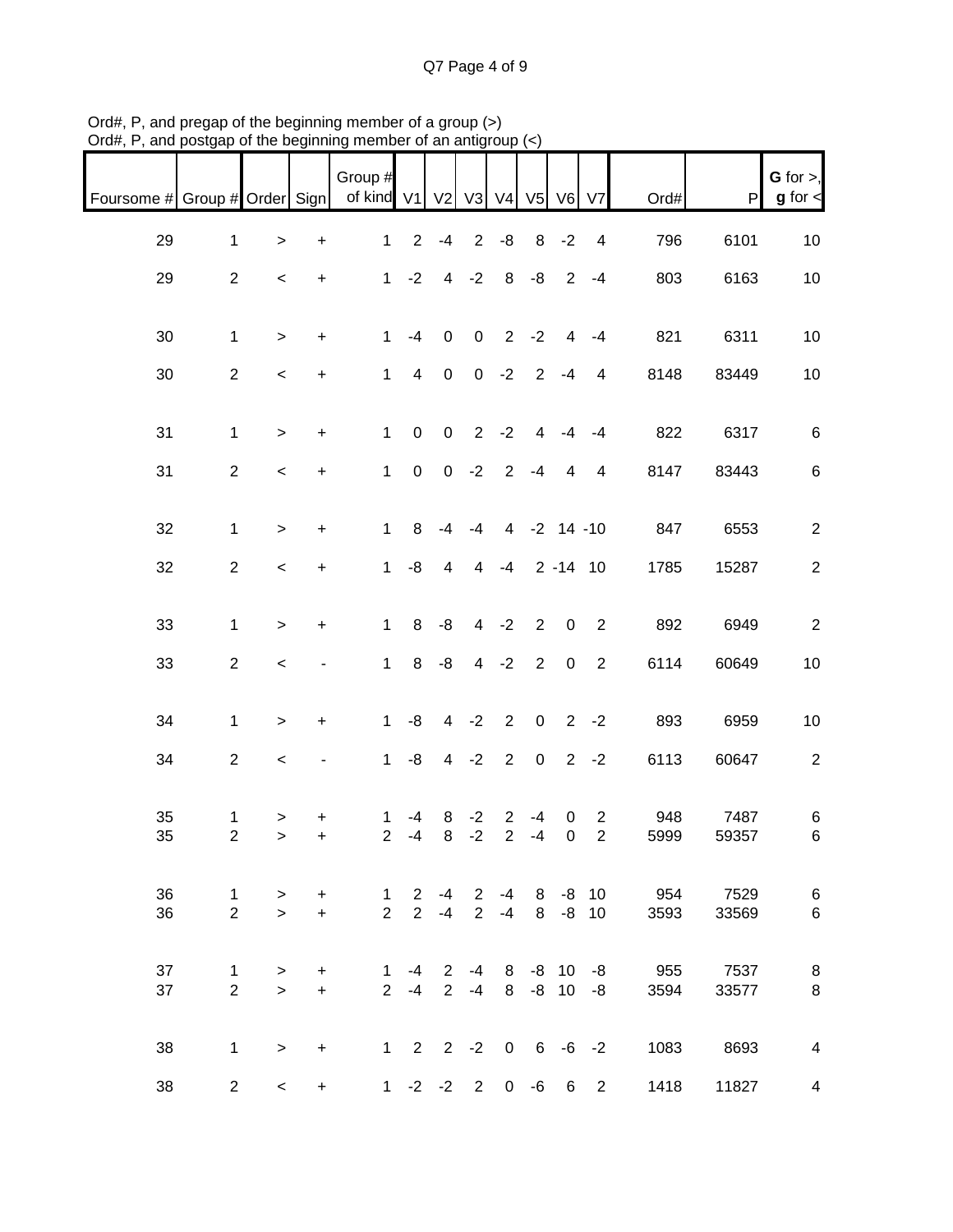| Foursome # Group # Order Sign |                |        |                                  | Group #<br>of kind V1 |                     | V <sub>2</sub>      | V <sub>3</sub>   | V <sub>4</sub> | V5 V6            |                | V <sub>7</sub>          | Ord# | P     | $G$ for $>$ ,<br>$g$ for $\lt$ |
|-------------------------------|----------------|--------|----------------------------------|-----------------------|---------------------|---------------------|------------------|----------------|------------------|----------------|-------------------------|------|-------|--------------------------------|
| 29                            | $\mathbf{1}$   | $\, >$ | $\ddot{}$                        | $\mathbf{1}$          | $\overline{2}$      | $-4$                | $\overline{2}$   | -8             | 8                | $-2$           | $\overline{4}$          | 796  | 6101  | $10$                           |
| 29                            | $\mathbf{2}$   | $\,<$  | $\ddot{}$                        | $\mathbf 1$           | $-2$                | $\overline{4}$      | $-2$             | $\, 8$         | -8               | $\overline{2}$ | $-4$                    | 803  | 6163  | 10                             |
| 30                            | $\mathbf{1}$   | $\geq$ | $\ddot{}$                        | $\mathbf{1}$          | $-4$                | $\boldsymbol{0}$    | $\boldsymbol{0}$ | $\overline{2}$ | $-2$             | $\overline{4}$ | $-4$                    | 821  | 6311  | $10$                           |
| 30                            | $\overline{2}$ | $\,<$  | $+$                              | $\mathbf{1}$          | $\overline{4}$      | $\mathbf 0$         |                  | $0 -2$         | $\overline{2}$   | $-4$           | $\overline{4}$          | 8148 | 83449 | 10                             |
|                               |                |        |                                  |                       |                     |                     |                  |                |                  |                |                         |      |       |                                |
| 31                            | $\mathbf{1}$   | $\, >$ | $+$                              | $\mathbf{1}$          | $\mathsf{O}\xspace$ | $\mathbf 0$         |                  | $2 -2$         | 4                | $-4$           | $-4$                    | 822  | 6317  | $\,6\,$                        |
| 31                            | $\mathbf{2}$   | $\,<$  | $\begin{array}{c} + \end{array}$ | $\mathbf{1}$          | $\mathsf{O}\xspace$ | $\overline{0}$      | $-2$             | 2              | $-4$             | $\overline{4}$ | $\overline{4}$          | 8147 | 83443 | $\,6\,$                        |
| 32                            | $\mathbf{1}$   | $\, >$ | $\ddot{}$                        | $\mathbf{1}$          | 8                   | $-4$                | $-4$             |                | 4 -2 14 -10      |                |                         | 847  | 6553  | $\overline{c}$                 |
| 32                            | $\overline{2}$ | $\,<$  | $\ddot{}$                        | $\mathbf 1$           | -8                  | $\overline{4}$      | 4                | $-4$           |                  |                | $2 - 14$ 10             | 1785 | 15287 | $\sqrt{2}$                     |
|                               |                |        |                                  |                       |                     |                     |                  |                |                  |                |                         |      |       |                                |
| 33                            | $\mathbf{1}$   | $\, >$ | $\ddot{}$                        | $\mathbf{1}$          | 8                   | -8                  | $\overline{4}$   | $-2$           | $\overline{2}$   | $\pmb{0}$      | $\overline{2}$          | 892  | 6949  | $\sqrt{2}$                     |
| 33                            | $\overline{2}$ | $\,<$  |                                  | $\mathbf{1}$          | 8                   | $-8$                |                  | $4 -2$         | $\boldsymbol{2}$ | $\pmb{0}$      | $\sqrt{2}$              | 6114 | 60649 | $10$                           |
| 34                            | $\mathbf{1}$   | $\,$   | $\ddot{}$                        | $\mathbf{1}$          | $-8$                | $\overline{4}$      | $-2$             | $\sqrt{2}$     | $\pmb{0}$        | $2^{\circ}$    | $-2$                    | 893  | 6959  | $10$                           |
| 34                            | $\overline{2}$ | $\,<$  | -                                | $\mathbf{1}$          | -8                  | $\overline{4}$      | $-2$             | $\sqrt{2}$     | $\pmb{0}$        | $\overline{2}$ | $-2$                    | 6113 | 60647 | $\sqrt{2}$                     |
| 35                            | 1              | $\,$   | +                                | 1                     | $-4$                | 8                   | $-2$             | $\overline{2}$ | $-4$             | $\pmb{0}$      | $\overline{\mathbf{c}}$ | 948  | 7487  | $\,6$                          |
| 35                            | $\overline{c}$ | $\,$   | $\ddot{}$                        | $\overline{2}$        | $-4$                | 8                   | $-2$             | $\overline{2}$ | $-4$             | $\pmb{0}$      | $\overline{2}$          | 5999 | 59357 | $\,6$                          |
| 36                            | $\mathbf{1}$   | $\geq$ | $\ddot{}$                        | $\mathbf 1$           | $\overline{2}$      | $-4$                | $\overline{2}$   | $-4$           | 8                | -8             | 10                      | 954  | 7529  | $\,6$                          |
| 36                            | $\overline{2}$ | $\geq$ | $\ddot{}$                        | $\overline{2}$        | $\overline{2}$      | $-4$                | $\overline{2}$   | $-4$           | 8                |                | $-8$ 10                 | 3593 | 33569 | $\,6$                          |
| 37                            | 1              | >      | +                                | $\mathbf{1}$          | -4                  | $\overline{2}$      | -4               |                | 8 -8 10          |                | -8                      | 955  | 7537  | 8                              |
| 37                            | $\overline{2}$ | $\geq$ | $+$                              | $\overline{2}$        | $-4$                | $\overline{2}$      | $-4$             | 8              |                  | $-8$ 10        | -8                      | 3594 | 33577 | $\,8\,$                        |
| 38                            | $\mathbf 1$    | $\, >$ | $\ddot{}$                        |                       |                     | $1 \quad 2 \quad 2$ | $-2$             | $\pmb{0}$      |                  |                | $6 - 6 - 2$             | 1083 | 8693  | $\overline{\mathbf{4}}$        |
| 38                            | $\overline{2}$ | $\,<$  | $+$                              |                       |                     | $1 -2 -2 2$         |                  | $\mathbf{0}$   | -6               | 6              | $\overline{2}$          | 1418 | 11827 | $\overline{\mathbf{4}}$        |

Ord#, P, and pregap of the beginning member of a group (>) Ord#, P, and postgap of the beginning member of an antigroup (<)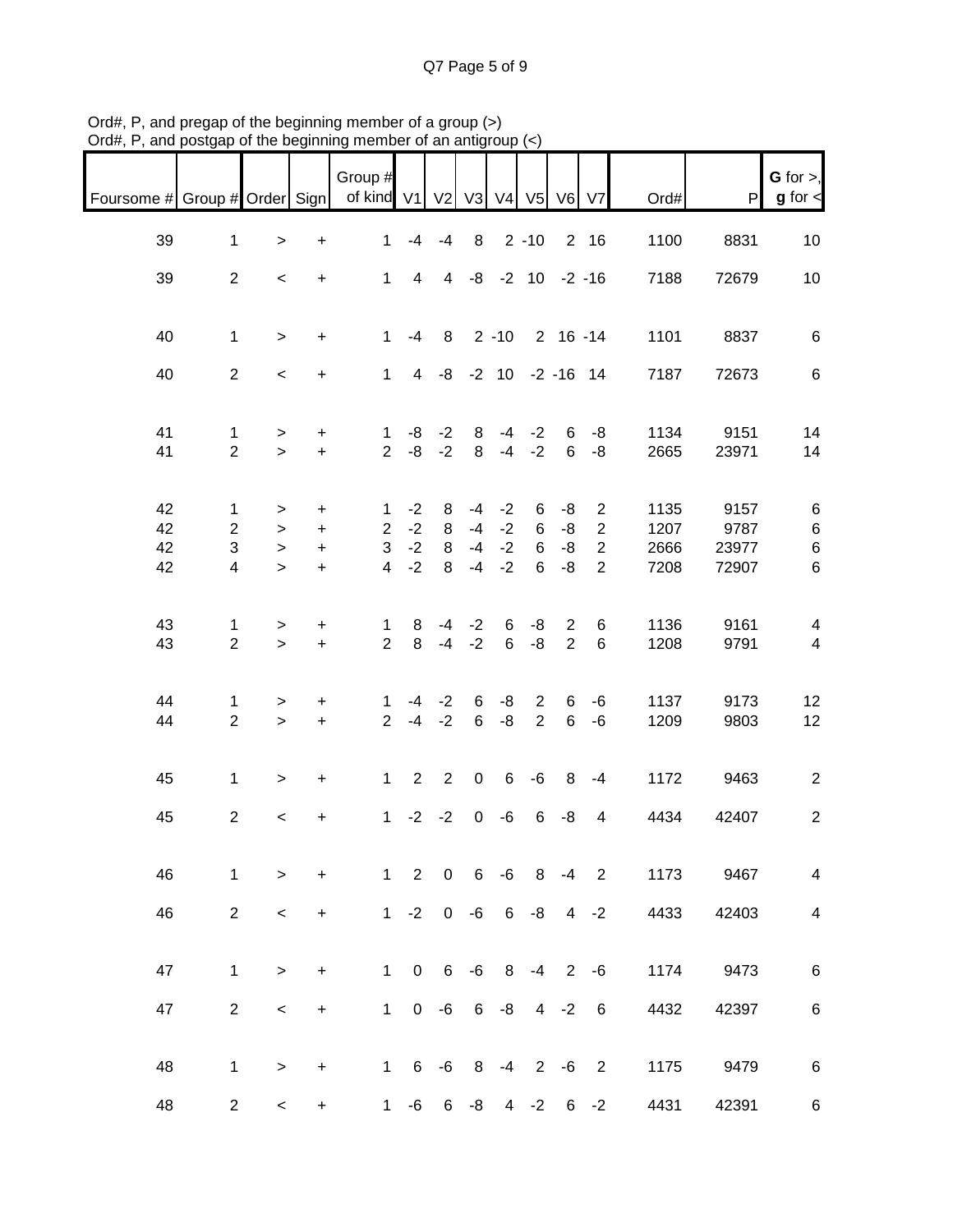| Foursome # Group # Order Sign |                              |                          |                                  | Group #<br>of kind V1          |                | V <sub>2</sub>  | V3           | V <sub>4</sub> | V <sub>5</sub>                   | V <sub>6</sub>  | V <sub>7</sub>                   | Ord#         | P              | G for $>$ ,<br>$g$ for $\lt$ |
|-------------------------------|------------------------------|--------------------------|----------------------------------|--------------------------------|----------------|-----------------|--------------|----------------|----------------------------------|-----------------|----------------------------------|--------------|----------------|------------------------------|
| 39                            | $\mathbf 1$                  | $\, > \,$                | $\ddot{}$                        | $\mathbf{1}$                   | -4             | $-4$            | 8            |                | $2 - 10$                         |                 | 2 16                             | 1100         | 8831           | 10                           |
| 39                            | $\overline{2}$               | $\,<\,$                  | $\ddot{}$                        | $\mathbf{1}$                   | $\overline{4}$ | $\overline{4}$  |              |                | $-8$ $-2$ 10 $-2$ $-16$          |                 |                                  | 7188         | 72679          | 10                           |
| 40                            | $\mathbf{1}$                 | $\geq$                   | $\ddot{}$                        | $\mathbf{1}$                   | $-4$           | 8               |              | $2 - 10$       |                                  | $2 16 - 14$     |                                  | 1101         | 8837           | $\,6\,$                      |
| 40                            | $\overline{2}$               | $\,<\,$                  | $+$                              | $\mathbf{1}$                   | $\overline{4}$ | $-8$            |              |                | $-2$ 10 $-2$ -16 14              |                 |                                  | 7187         | 72673          | $\,6\,$                      |
| 41                            | 1                            | >                        | $\ddot{}$                        | 1                              | -8             | $-2$            | 8            | $-4$           | $-2$                             | 6               | -8                               | 1134         | 9151           | 14                           |
| 41                            | $\overline{2}$               | $\geq$                   | $+$                              | $\overline{2}$                 | $-8$           | $-2$            | 8            | $-4$           | $-2$                             | 6               | -8                               | 2665         | 23971          | 14                           |
| 42<br>42                      | 1<br>$\overline{2}$          | $\,>$<br>$\,$            | $\ddot{}$<br>$\ddot{}$           | 1<br>$\overline{2}$            | $-2$<br>$-2$   | 8<br>$\bf 8$    | -4<br>$-4$   | $-2$<br>$-2$   | 6<br>6                           | -8<br>-8        | $\overline{c}$<br>$\overline{c}$ | 1135<br>1207 | 9157<br>9787   | 6<br>$\,6$                   |
| 42<br>42                      | 3<br>$\overline{\mathbf{4}}$ | $\mathbf{L}$<br>$\,>$    | $\ddot{}$<br>$+$                 | 3<br>$\overline{4}$            | $-2$<br>$-2$   | $\bf 8$<br>8    | $-4$<br>$-4$ | $-2$<br>$-2$   | 6<br>6                           | -8<br>-8        | $\overline{c}$<br>$\overline{2}$ | 2666<br>7208 | 23977<br>72907 | $\,6$<br>$\,6$               |
| 43                            | 1                            | >                        | $\ddot{}$                        | $\mathbf{1}$                   | 8              | $-4$            | $-2$         | 6              | -8                               | $\overline{2}$  | 6                                | 1136         | 9161           | 4                            |
| 43                            | $\overline{2}$               | $\overline{\phantom{0}}$ | $\ddot{}$                        | $\overline{2}$                 | 8              | $-4$            | $-2$         | 6              | -8                               | $\overline{2}$  | $\,6\,$                          | 1208         | 9791           | $\overline{\mathbf{4}}$      |
| 44<br>44                      | 1<br>$\overline{2}$          | ><br>$\geq$              | $\ddot{}$<br>$\ddot{}$           | $\mathbf{1}$<br>$\overline{2}$ | $-4$<br>$-4$   | $-2$<br>$-2$    | 6<br>6       | -8<br>-8       | $\overline{2}$<br>$\overline{2}$ | 6<br>6          | -6<br>$-6$                       | 1137<br>1209 | 9173<br>9803   | 12<br>12                     |
| 45                            | 1                            | $\geq$                   | $\begin{array}{c} + \end{array}$ | $\mathbf{1}$                   | $\overline{2}$ | 2               | $\pmb{0}$    | $\,6\,$        | -6                               | 8               | $-4$                             | 1172         | 9463           | $\overline{2}$               |
| 45                            | $\overline{2}$               | $\overline{\phantom{0}}$ | $\ddot{}$                        | $\mathbf 1$                    | $-2$           | $-2$            | $\pmb{0}$    | $-6$           | 6                                | -8              | $\overline{4}$                   | 4434         | 42407          | $\boldsymbol{2}$             |
| 46                            | 1                            | $\,$                     | $\ddot{}$                        | $\mathbf{1}$                   | $\overline{2}$ | $\mathbf 0$     | 6            | $-6$           | 8                                | $-4$            | $\overline{2}$                   | 1173         | 9467           | $\overline{4}$               |
| 46                            | $\overline{2}$               | $\,<$                    | $\ddot{}$                        | 1 <sup>1</sup>                 | $-2$           | $\mathbf 0$     | -6           | $\,6\,$        | -8                               | 4               | $-2$                             | 4433         | 42403          | $\overline{\mathbf{4}}$      |
| 47                            | $\mathbf{1}$                 | $\geq$                   | $\ddot{}$                        | $\mathbf 1$                    | $\mathbf 0$    | $6\phantom{1}6$ | $-6$         | 8              | $-4$                             | 2               | $-6$                             | 1174         | 9473           | $\,6$                        |
| 47                            | $\overline{2}$               | $\,<$                    | $\ddot{}$                        | 1                              |                | $0 - 6$         | 6            | $\mbox{-}8$    |                                  | $4 -2$          | $\,6$                            | 4432         | 42397          | $\,6\,$                      |
| 48                            | 1                            | $\,$                     | $\ddot{}$                        | $\mathbf{1}$                   | 6              | -6              | 8            | $-4$           | $2^{\circ}$                      | $-6$            | $\overline{2}$                   | 1175         | 9479           | $\,6$                        |
| 48                            | $\overline{2}$               | $\prec$                  | $+$                              | 1                              | -6             | 6               | -8           | $\overline{4}$ | $-2$                             | $6\overline{6}$ | $-2$                             | 4431         | 42391          | $\,6$                        |

Ord#, P, and pregap of the beginning member of a group (>) Ord#, P, and postgap of the beginning member of an antigroup (<)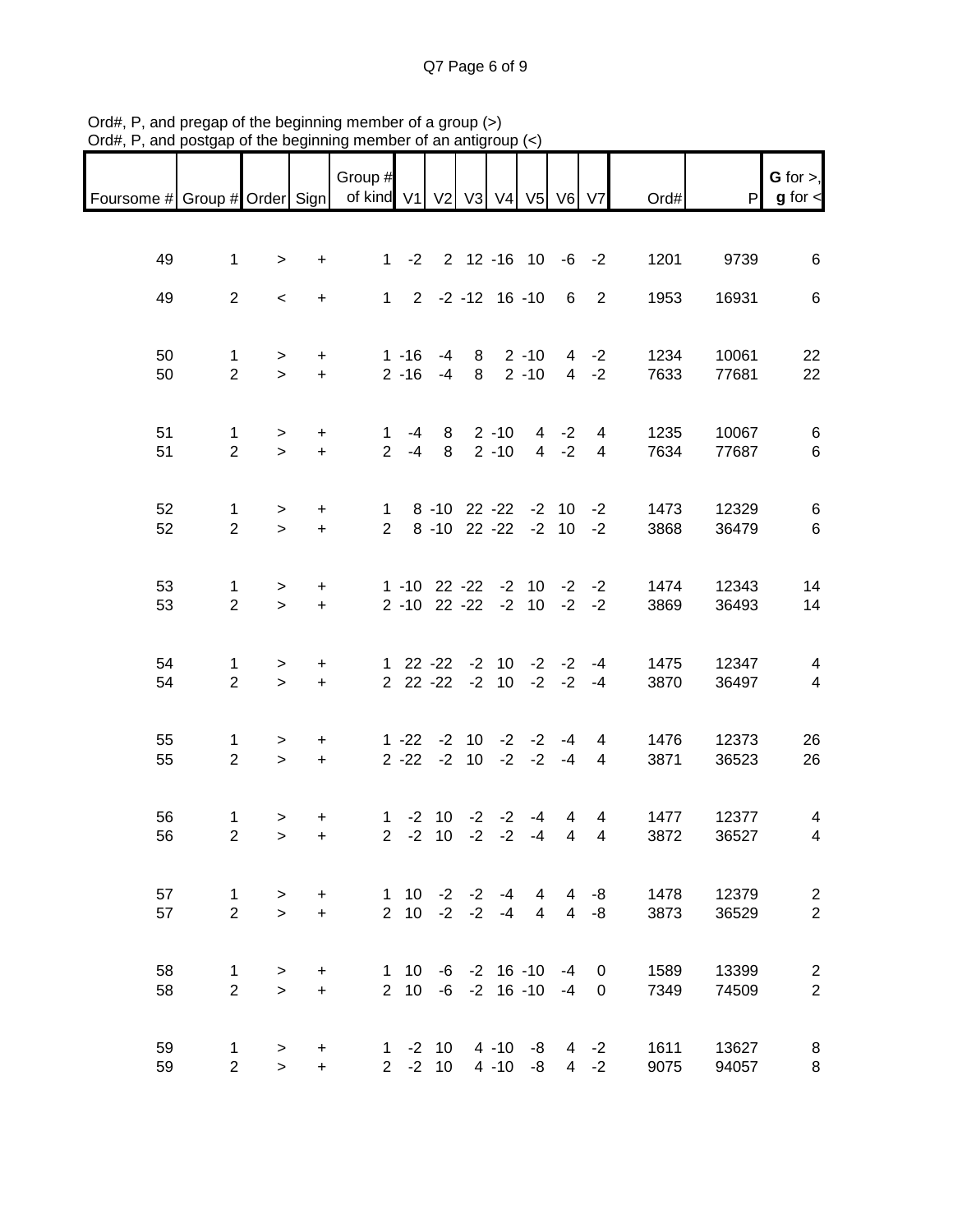| Foursome # Group # Order Sign   of kind V1   V2   V3   V4   V5   V6   V7 |                               |           |           | Group #        |                 |                                                   |      |          |                    |                |                         | Ord# | P     | G for $>$ ,<br>$g$ for $\lt$ |
|--------------------------------------------------------------------------|-------------------------------|-----------|-----------|----------------|-----------------|---------------------------------------------------|------|----------|--------------------|----------------|-------------------------|------|-------|------------------------------|
|                                                                          |                               |           |           |                |                 |                                                   |      |          |                    |                |                         |      |       |                              |
| 49                                                                       | $\mathbf 1$                   | $\geq$    | $+$       |                |                 | 1 -2 2 12 -16 10 -6 -2                            |      |          |                    |                |                         | 1201 | 9739  | 6                            |
| 49                                                                       | $\overline{2}$                | $\prec$   | $+$       |                |                 | $1 \quad 2 \quad -2 \quad -12 \quad 16 \quad -10$ |      |          |                    | 6              | $\overline{2}$          | 1953 | 16931 | 6                            |
| 50                                                                       | $\mathbf 1$                   | >         | $+$       |                | $1 - 16$        | -4                                                |      |          | $8 \t2 \t-10$      |                | 4 -2                    | 1234 | 10061 | 22                           |
| 50                                                                       | $\overline{2}$                | $\geq$    | $+$       |                |                 | $2 - 16 - 4$                                      | 8    |          | $2 - 10$           |                | $4 -2$                  | 7633 | 77681 | 22                           |
| 51                                                                       | $\mathbf{1}$                  | $\geq$    | $+$       | $\mathbf{1}$   | $-4$            |                                                   |      | 8 2 - 10 |                    | $4 -2$         | $\overline{4}$          | 1235 | 10067 | 6                            |
| 51                                                                       | $\overline{2}$                | $\geq$    | $+$       | $\overline{2}$ | $-4$            | 8                                                 |      | $2 - 10$ |                    | $4 -2$         | $\overline{4}$          | 7634 | 77687 | 6                            |
| 52                                                                       | $\mathbf 1$                   | $\geq$    | $+$       | $\mathbf{1}$   |                 | 8 -10 22 -22 -2 10 -2                             |      |          |                    |                |                         | 1473 | 12329 | 6                            |
| 52                                                                       | $\overline{2}$                | $\geq$    | $+$       | $\overline{2}$ |                 | 8 -10 22 -22 -2 10 -2                             |      |          |                    |                |                         | 3868 | 36479 | $\,6\,$                      |
| 53                                                                       | 1                             | $\geq$    | $+$       |                |                 | $1 - 10$ 22 $-22$ $-2$ 10 $-2$ $-2$               |      |          |                    |                |                         | 1474 | 12343 | 14                           |
| 53                                                                       | $\overline{2}$                | $\geq$    | $+$       |                |                 | $2 - 10$ $22 - 22$ $-2$ $10$ $-2$                 |      |          |                    |                | $-2$                    | 3869 | 36493 | 14                           |
| 54                                                                       | 1                             | $\geq$    | $+$       |                |                 | $1 22 -22 -2 10 -2 -2 -4$                         |      |          |                    |                |                         | 1475 | 12347 | $\overline{4}$               |
| 54                                                                       | $\overline{2}$                | $\geq$    | $+$       |                |                 | 2 22 -22 -2 10 -2 -2 -4                           |      |          |                    |                |                         | 3870 | 36497 | $\overline{4}$               |
| 55                                                                       | $\mathbf{1}$                  | $\geq$    | $\ddot{}$ |                |                 | $1 - 22 - 210 - 2 - 2$                            |      |          |                    | -4             | 4                       | 1476 | 12373 | 26                           |
| 55                                                                       | $\overline{2}$                | $\geq$    | $+$       |                |                 | $2 - 22 - 210 - 2 - 2 - 4$                        |      |          |                    |                | 4                       | 3871 | 36523 | 26                           |
| 56                                                                       | $\mathbf{1}$                  | >         | $\ddot{}$ | $\mathbf{1}$   |                 | $-2$ 10 $-2$ $-2$ $-4$                            |      |          |                    | 4              | 4                       | 1477 | 12377 | $\overline{4}$               |
| 56                                                                       | $\overline{2}$                | $\,$      | $+$       | 2 <sup>1</sup> |                 | $-2$ 10                                           | $-2$ | $-2$     | $-4$               | $\overline{4}$ | $\overline{\mathbf{4}}$ | 3872 | 36527 | $\overline{4}$               |
| 57                                                                       | 1                             | >         | $\ddot{}$ |                | $1 \quad 10$    | $-2$                                              | $-2$ | -4       | 4                  | 4              | -8                      | 1478 | 12379 | $\overline{c}$               |
| 57                                                                       | $\overline{2}$                | $\geq$    | $+$       | $2^{\circ}$    | 10 <sup>1</sup> | $-2$                                              | $-2$ | $-4$     | $\overline{4}$     | $\overline{4}$ | -8                      | 3873 | 36529 | $\overline{c}$               |
| 58                                                                       | 1                             | >         | $\ddot{}$ |                | $1 \quad 10$    |                                                   |      |          | $-6$ $-2$ 16 $-10$ | -4             | 0                       | 1589 | 13399 | $\overline{\mathbf{c}}$      |
| 58                                                                       | $\overline{2}$                | $\geq$    | $+$       | 2 <sup>1</sup> | 10 <sup>1</sup> | -6                                                |      |          | $-2$ 16 $-10$      | $-4$           | 0                       | 7349 | 74509 | $\mathbf 2$                  |
| 59                                                                       | $\mathbf 1$<br>$\overline{2}$ | $\, > \,$ | $\ddot{}$ |                |                 | $1 - 2 10$<br>$2 -2 10$                           |      |          | $4 - 10 - 8$       | 4              | $-2$                    | 1611 | 13627 | 8                            |
| 59                                                                       |                               | $\geq$    | $+$       |                |                 |                                                   |      | $4 - 10$ | $-8$               | $\overline{4}$ | $-2$                    | 9075 | 94057 | 8                            |

Ord#, P, and pregap of the beginning member of a group (>) Ord#, P, and postgap of the beginning member of an antigroup (<)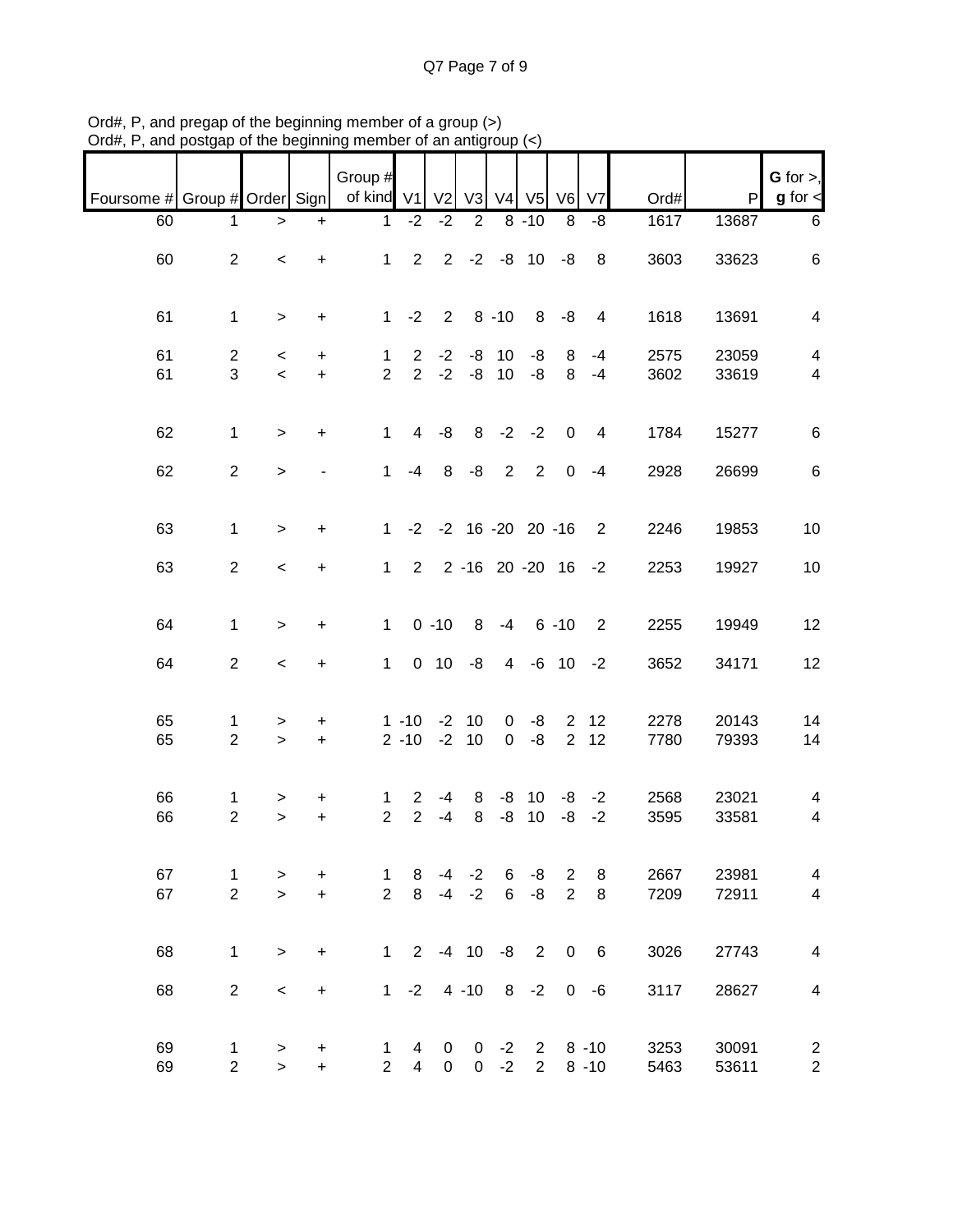Q7 Page 7 of 9

| Foursome # Group # Order Sign |                                |                                   |                | Group #<br>of kind V1          |                                  | V <sub>2</sub>   | V3                            | V <sub>4</sub>                | V <sub>5</sub>              | V6                               | V <sub>7</sub>       | Ord#         | P              | G for $>$ ,<br>$g$ for $\leq$                      |
|-------------------------------|--------------------------------|-----------------------------------|----------------|--------------------------------|----------------------------------|------------------|-------------------------------|-------------------------------|-----------------------------|----------------------------------|----------------------|--------------|----------------|----------------------------------------------------|
| 60                            | 1.                             | >                                 | $\ddot{}$      | 1                              | $-2$                             | $-2$             | $\overline{2}$                |                               | $8 - 10$                    | 8                                | -8                   | 1617         | 13687          | $\,6\,$                                            |
| 60                            | $\overline{2}$                 | $\,<$                             | $\ddot{}$      | $\mathbf{1}$                   | $\overline{2}$                   |                  |                               | $2 -2 -8 10$                  |                             | -8                               | 8                    | 3603         | 33623          | $\,6\,$                                            |
| 61                            | $\mathbf{1}$                   | $\,>$                             | $\ddot{}$      | $\mathbf 1$                    | $-2$                             | $\overline{2}$   |                               | $8 - 10$                      | 8                           | -8                               | $\overline{4}$       | 1618         | 13691          | $\overline{\mathbf{4}}$                            |
| 61<br>61                      | $\overline{c}$<br>3            | $\,<$<br>$\overline{\phantom{a}}$ | +<br>$+$       | $\mathbf{1}$<br>$\overline{2}$ | $\overline{2}$<br>$\overline{2}$ | $-2$<br>$-2$     |                               | $-8$ 10<br>$-8$ 10            | -8<br>$-8$                  | 8<br>8                           | $-4$<br>$-4$         | 2575<br>3602 | 23059<br>33619 | $\overline{\mathbf{4}}$<br>$\overline{\mathbf{4}}$ |
| 62                            | $\mathbf{1}$                   | $\geq$                            | $\ddot{}$      | $\mathbf{1}$                   | $\overline{4}$                   | -8               |                               | $8 - 2 - 2$                   |                             | $\mathbf 0$                      | $\overline{4}$       | 1784         | 15277          | $\,6\,$                                            |
| 62                            | $\overline{2}$                 | $\geq$                            | ۰              | $\mathbf{1}$                   | $-4$                             | 8                | -8                            | $\overline{2}$                | $\overline{2}$              | $\mathbf 0$                      | $-4$                 | 2928         | 26699          | $\,6\,$                                            |
| 63                            | $\mathbf{1}$                   | $\geq$                            | $\ddot{}$      | $\mathbf{1}$                   |                                  |                  |                               | $-2$ $-2$ 16 $-20$ 20 $-16$   |                             |                                  | 2                    | 2246         | 19853          | $10$                                               |
| 63                            | $\overline{2}$                 | $\,<$                             | $\ddot{}$      | $\mathbf{1}$                   | $2^{\circ}$                      |                  |                               | 2 -16 20 -20 16               |                             |                                  | $-2$                 | 2253         | 19927          | 10                                                 |
| 64                            | $\mathbf{1}$                   | $\geq$                            | $\ddot{}$      | $\mathbf{1}$                   |                                  | $0 - 10$         | 8                             | $-4$                          |                             | $6 - 10$                         | 2                    | 2255         | 19949          | 12                                                 |
| 64                            | $\overline{2}$                 | $\,<\,$                           | +              | $\mathbf{1}$                   |                                  | $0$ 10           | -8                            | $\overline{4}$                |                             | $-6$ 10                          | $-2$                 | 3652         | 34171          | 12                                                 |
| 65<br>65                      | 1<br>$\overline{2}$            | ><br>$\geq$                       | +<br>$+$       |                                | $1 - 10$<br>$2 - 10$             | $-2$<br>$-2$     | 10<br>10                      | $\overline{0}$<br>$\mathbf 0$ | -8<br>-8                    | $\overline{2}$<br>$\overline{2}$ | 12<br>12             | 2278<br>7780 | 20143<br>79393 | 14<br>14                                           |
| 66<br>66                      | 1.<br>$\overline{2}$           | ><br>$\mathbf{I}$                 | +<br>$\ddot{}$ | 1<br>$\overline{2}$            | $\overline{2}$<br>$\overline{2}$ | -4<br>$-4$       | 8<br>8                        | -8<br>-8                      | 10<br>10                    | -8<br>$-8$                       | $-2$<br>$-2$         | 2568<br>3595 | 23021<br>33581 | 4<br>$\overline{\mathcal{A}}$                      |
| 67<br>67                      | $\mathbf{1}$<br>$\overline{2}$ | ><br>$\geq$                       | +<br>$\ddot{}$ | 1<br>$\overline{2}$            | 8<br>8                           | -4               | $-2$<br>$-4 -2$               | 6<br>6                        | -8<br>-8                    | $\overline{2}$<br>2              | 8<br>$\,8\,$         | 2667<br>7209 | 23981<br>72911 | $\overline{4}$<br>$\overline{\mathbf{4}}$          |
| 68                            | $\mathbf{1}$                   | $\geq$                            | $\ddot{}$      | 1                              |                                  |                  |                               | $2 -4 10 -8$                  | $\overline{2}$              | $\overline{0}$                   | 6                    | 3026         | 27743          | $\overline{4}$                                     |
| 68                            | $\overline{2}$                 | $\,<\,$                           | $\ddot{}$      | 1                              | $-2$                             |                  | $4 - 10$                      |                               | $8 - 2$                     |                                  | $0 - 6$              | 3117         | 28627          | $\overline{4}$                                     |
| 69<br>69                      | 1<br>$\overline{2}$            | ><br>$\geq$                       | +<br>$+$       | 1<br>$\overline{2}$            | 4<br>$\overline{4}$              | 0<br>$\mathbf 0$ | $\mathbf 0$<br>$\overline{0}$ | $-2$<br>$-2$                  | $\mathbf{2}$<br>$2^{\circ}$ |                                  | $8 - 10$<br>$8 - 10$ | 3253<br>5463 | 30091<br>53611 | $\overline{c}$<br>$\overline{\mathbf{c}}$          |

Ord#, P, and pregap of the beginning member of a group (>) Ord#, P, and postgap of the beginning member of an antigroup (<)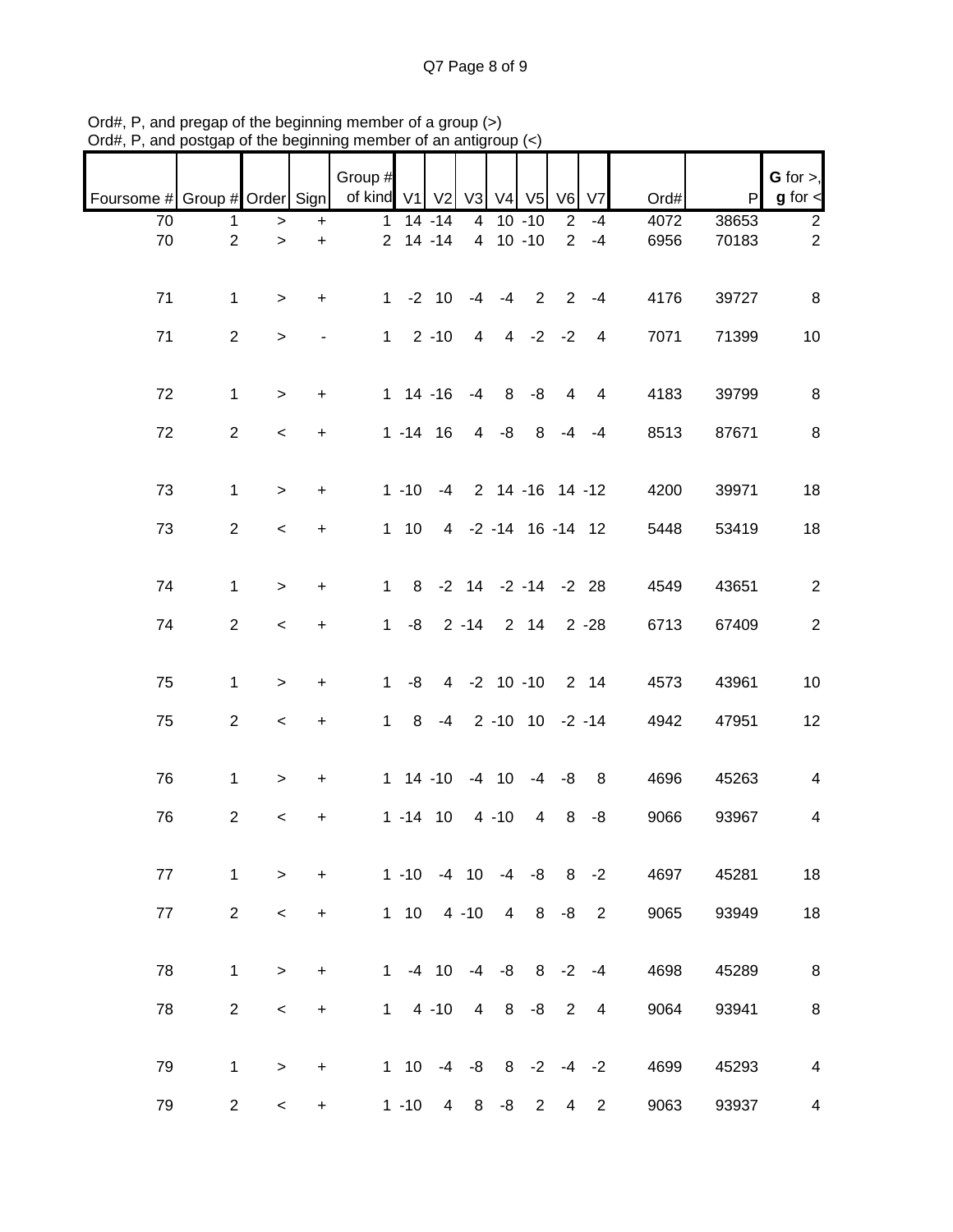Q7 Page 8 of 9

|                               |                |                          |                          | Group #      |                 |                |                |                |                            |                |                |      |       | $G$ for $>$ ,            |
|-------------------------------|----------------|--------------------------|--------------------------|--------------|-----------------|----------------|----------------|----------------|----------------------------|----------------|----------------|------|-------|--------------------------|
| Foursome # Group # Order Sign |                |                          |                          | of kind V1   |                 | V <sub>2</sub> | V <sub>3</sub> | V4             | V <sub>5</sub>             | V <sub>6</sub> | V <sub>7</sub> | Ord# | P     | $g$ for $\lt$            |
| 70                            | 1              | >                        | $\ddot{}$                | 1            |                 | $14 - 14$      | 4              |                | $10 - 10$                  | 2              | $-4$           | 4072 | 38653 | $\overline{2}$           |
| 70                            | $\overline{2}$ | $\,$                     | $\ddot{}$                |              | $2$ 14 -14      |                |                | 4 10 -10       |                            | $\overline{2}$ | $-4$           | 6956 | 70183 | $\boldsymbol{2}$         |
| 71                            | $\mathbf{1}$   | $\geq$                   | $+$                      | $\mathbf{1}$ |                 | $-2$ 10        | -4             | -4             | $\overline{2}$             | 2              | $-4$           | 4176 | 39727 | $\,8\,$                  |
| 71                            | $\overline{2}$ | $\geq$                   | $\overline{\phantom{0}}$ | $\mathbf{1}$ |                 | $2 - 10$       | $\overline{4}$ |                | $4 -2 -2$                  |                | $\overline{4}$ | 7071 | 71399 | 10                       |
|                               |                |                          |                          |              |                 |                |                |                |                            |                |                |      |       |                          |
| 72                            | $\mathbf{1}$   | $\geq$                   | $+$                      |              | $1 14 - 16$     |                | $-4$           | 8              | -8                         | 4              | 4              | 4183 | 39799 | $\, 8$                   |
| 72                            | $\overline{2}$ | $\lt$                    | $+$                      |              | $1 - 14$ 16     |                |                | $4 - 8$        | 8                          | $-4$           | $-4$           | 8513 | 87671 | $\,8\,$                  |
| 73                            | $\mathbf{1}$   | $\geq$                   | $+$                      |              | $1 - 10 - 4$    |                |                |                | 2 14 -16 14 -12            |                |                | 4200 | 39971 | 18                       |
| 73                            | $\overline{2}$ | $\,<$                    | $\ddot{}$                |              | $1 10$          |                |                |                | 4 -2 -14 16 -14 12         |                |                | 5448 | 53419 | 18                       |
|                               |                |                          |                          |              |                 |                |                |                |                            |                |                |      |       |                          |
| 74                            | $\mathbf{1}$   | $\geq$                   | $\ddot{}$                | $\mathbf{1}$ | 8               |                |                |                | $-2$ 14 $-2$ $-14$ $-2$ 28 |                |                | 4549 | 43651 | $\overline{2}$           |
| 74                            | $\overline{2}$ | $\,<\,$                  | $\ddot{}$                | $\mathbf{1}$ | -8              |                |                |                | $2 - 14$ 2 14              |                | $2 - 28$       | 6713 | 67409 | $\overline{2}$           |
|                               |                |                          |                          |              |                 |                |                |                |                            |                |                |      |       |                          |
| 75                            | 1              | $\geq$                   | $\ddot{}$                | $\mathbf{1}$ | -8              |                |                |                | 4 -2 10 -10                |                | 2 14           | 4573 | 43961 | 10                       |
| 75                            | $\overline{2}$ | $\,<$                    | $\ddot{}$                | $\mathbf{1}$ | 8               |                |                |                | $-4$ 2 $-10$ 10 $-2$ $-14$ |                |                | 4942 | 47951 | 12                       |
| 76                            | 1              | $\geq$                   | $\ddot{}$                |              | $1 \t14 \t-10$  |                |                | $-4$ 10        |                            | $-4 - 8$       | 8              | 4696 | 45263 | $\overline{\mathcal{A}}$ |
| 76                            | $\overline{2}$ | $\overline{\phantom{0}}$ | +                        |              | $1 - 14$ 10     |                |                | $4 - 10$       | 4                          | 8              | -8             | 9066 | 93967 | 4                        |
|                               |                |                          |                          |              |                 |                |                |                |                            |                |                |      |       |                          |
| 77                            | $\mathbf{1}$   | $\,>$                    | +                        |              | $1 - 10 - 4 10$ |                |                | -4             | -8                         | 8              | $-2$           | 4697 | 45281 | 18                       |
| 77                            | $\overline{2}$ | $\,<\,$                  | $\ddot{}$                |              | $1 10$          |                | $4 - 10$       | $\overline{4}$ | 8                          | -8             | 2              | 9065 | 93949 | 18                       |
| 78                            | $\mathbf{1}$   | $\,>$                    | $\ddot{}$                | 1            |                 | $-4$ 10        | $-4$           | -8             | 8                          | $-2$           | $-4$           | 4698 | 45289 | $\, 8$                   |
| 78                            | $\overline{2}$ | $\,<$                    | $\ddot{}$                | 1            |                 | $4 - 10$       | 4              | 8              | -8                         | 2              | $\overline{4}$ | 9064 | 93941 | $\,8\,$                  |
|                               |                |                          |                          |              |                 |                |                |                |                            |                |                |      |       |                          |
| 79                            | 1              | $\geq$                   | $\ddot{}$                |              | $1 \quad 10$    | $-4$           | -8             |                | $8 - 2 - 4 - 2$            |                |                | 4699 | 45293 | $\overline{\mathbf{4}}$  |
| 79                            | $\overline{2}$ | $\overline{\phantom{0}}$ | $+$                      |              | $1 - 10$        | $\overline{4}$ | 8              | -8             | $\overline{2}$             | $\overline{4}$ | $\overline{2}$ | 9063 | 93937 | $\overline{\mathbf{4}}$  |

Ord#, P, and pregap of the beginning member of a group (>) Ord#, P, and postgap of the beginning member of an antigroup (<)